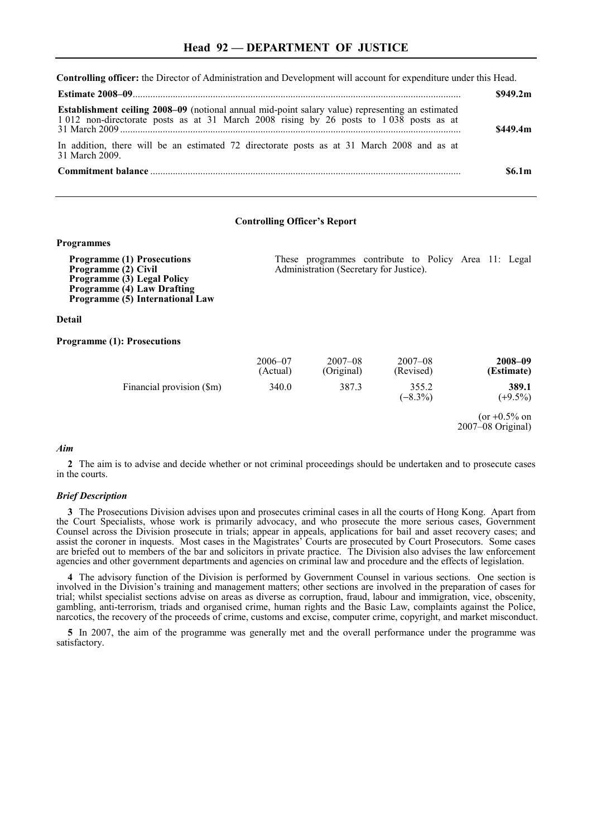**Controlling officer:** the Director of Administration and Development will account for expenditure under this Head.

|                                                                                                                                                                                                    | \$949.2m\$           |
|----------------------------------------------------------------------------------------------------------------------------------------------------------------------------------------------------|----------------------|
| <b>Establishment ceiling 2008–09</b> (notional annual mid-point salary value) representing an estimated<br>1 012 non-directorate posts as at 31 March 2008 rising by 26 posts to 1 038 posts as at | \$449.4 <sub>m</sub> |
| In addition, there will be an estimated 72 directorate posts as at 31 March 2008 and as at<br>31 March 2009                                                                                        |                      |
|                                                                                                                                                                                                    | \$6.1m               |

# **Controlling Officer's Report**

### **Programmes**

**Programme (1) Prosecutions Programme (2) Civil Programme (3) Legal Policy Programme (4) Law Drafting Programme (5) International Law**  These programmes contribute to Policy Area 11: Legal Administration (Secretary for Justice). **Detail Programme (1): Prosecutions**  2006–07 (Actual) 2007–08 (Original) 2007–08 (Revised) **2008–09 (Estimate)** Financial provision (\$m) 340.0 387.3 355.2 **389.1**<br>(-8.3%)  $(+)9.5\%$  $(+9.5\%)$  $(or +0.5\% on$ 2007–08 Original)

#### *Aim*

**2** The aim is to advise and decide whether or not criminal proceedings should be undertaken and to prosecute cases in the courts.

# *Brief Description*

**3** The Prosecutions Division advises upon and prosecutes criminal cases in all the courts of Hong Kong. Apart from the Court Specialists, whose work is primarily advocacy, and who prosecute the more serious cases, Government Counsel across the Division prosecute in trials; appear in appeals, applications for bail and asset recovery cases; and assist the coroner in inquests. Most cases in the Magistrates' Courts are prosecuted by Court Prosecutors. Some cases are briefed out to members of the bar and solicitors in private practice. The Division also advises the law enforcement agencies and other government departments and agencies on criminal law and procedure and the effects of legislation.

**4** The advisory function of the Division is performed by Government Counsel in various sections. One section is involved in the Division's training and management matters; other sections are involved in the preparation of cases for trial; whilst specialist sections advise on areas as diverse as corruption, fraud, labour and immigration, vice, obscenity, gambling, anti-terrorism, triads and organised crime, human rights and the Basic Law, complaints against the Police, narcotics, the recovery of the proceeds of crime, customs and excise, computer crime, copyright, and market misconduct.

**5** In 2007, the aim of the programme was generally met and the overall performance under the programme was satisfactory.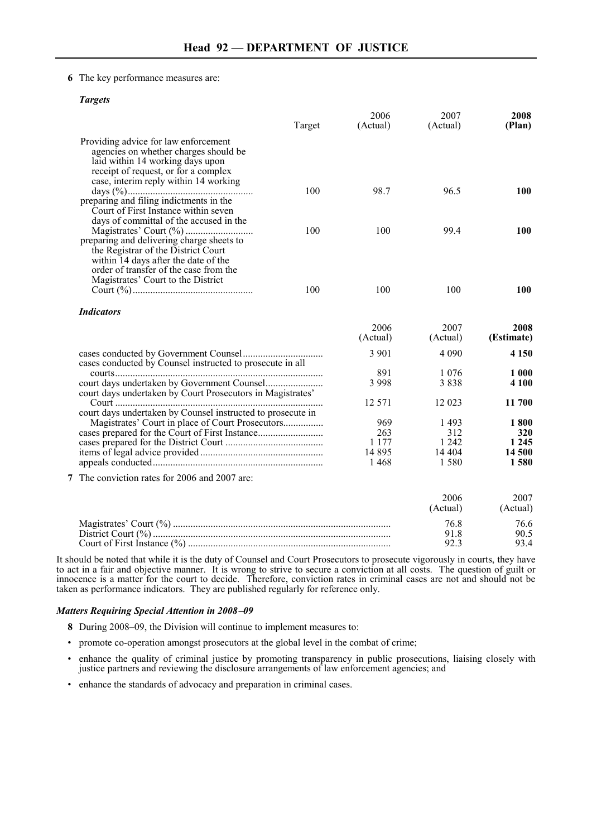# **6** The key performance measures are:

# *Targets*

|                                                                                | Target | 2006<br>(Actual) | 2007<br>(Actual) | 2008<br>(Plan) |
|--------------------------------------------------------------------------------|--------|------------------|------------------|----------------|
| Providing advice for law enforcement                                           |        |                  |                  |                |
| agencies on whether charges should be                                          |        |                  |                  |                |
| laid within 14 working days upon                                               |        |                  |                  |                |
| receipt of request, or for a complex                                           |        |                  |                  |                |
| case, interim reply within 14 working                                          |        |                  |                  |                |
|                                                                                | 100    | 98.7             | 96.5             | 100            |
| preparing and filing indictments in the                                        |        |                  |                  |                |
| Court of First Instance within seven                                           |        |                  |                  |                |
| days of committal of the accused in the                                        |        |                  |                  |                |
|                                                                                | 100    | 100              | 99.4             | 100            |
| preparing and delivering charge sheets to                                      |        |                  |                  |                |
| the Registrar of the District Court                                            |        |                  |                  |                |
| within 14 days after the date of the<br>order of transfer of the case from the |        |                  |                  |                |
| Magistrates' Court to the District                                             |        |                  |                  |                |
|                                                                                | 100    | 100              | 100              | 100            |
| <b>Indicators</b>                                                              |        |                  |                  |                |
|                                                                                |        |                  |                  |                |
|                                                                                |        | 2006             | 2007             | 2008           |
|                                                                                |        | (Actual)         | (Actual)         | (Estimate)     |
|                                                                                |        | 3 9 0 1          | 4 0 9 0          | 4 1 5 0        |
| cases conducted by Counsel instructed to prosecute in all                      |        |                  |                  |                |
|                                                                                |        | 891              | 1 0 7 6          | 1 000          |
|                                                                                |        | 3 9 9 8          | 3838             | 4 100          |
| court days undertaken by Court Prosecutors in Magistrates'                     |        |                  |                  |                |
|                                                                                |        | 12 571           | 12 023           | 11 700         |
| court days undertaken by Counsel instructed to prosecute in                    |        |                  |                  |                |
| Magistrates' Court in place of Court Prosecutors                               |        | 969              | 1493             | 1800           |
|                                                                                |        | 263<br>1 1 7 7   | 312<br>1 2 4 2   | 320<br>1 2 4 5 |
|                                                                                |        | 14 8 95          | 14 4 04          | 14 500         |
|                                                                                |        | 1468             | 1580             | 1580           |
|                                                                                |        |                  |                  |                |
| 7 The conviction rates for 2006 and 2007 are:                                  |        |                  |                  |                |
|                                                                                |        |                  | 2006             | 2007           |
|                                                                                |        |                  | (Actual)         | (Actual)       |
|                                                                                |        |                  | 76.8             | 76.6           |
|                                                                                |        |                  | 91.8             | 90.5           |
|                                                                                |        |                  | 92.3             | 93.4           |

It should be noted that while it is the duty of Counsel and Court Prosecutors to prosecute vigorously in courts, they have to act in a fair and objective manner. It is wrong to strive to secure a conviction at all costs. The question of guilt or innocence is a matter for the court to decide. Therefore, conviction rates in criminal cases are not and should not be taken as performance indicators. They are published regularly for reference only.

# *Matters Requiring Special Attention in 2008*−*09*

- **8** During 2008–09, the Division will continue to implement measures to:
- promote co-operation amongst prosecutors at the global level in the combat of crime;
- enhance the quality of criminal justice by promoting transparency in public prosecutions, liaising closely with justice partners and reviewing the disclosure arrangements of law enforcement agencies; and
- enhance the standards of advocacy and preparation in criminal cases.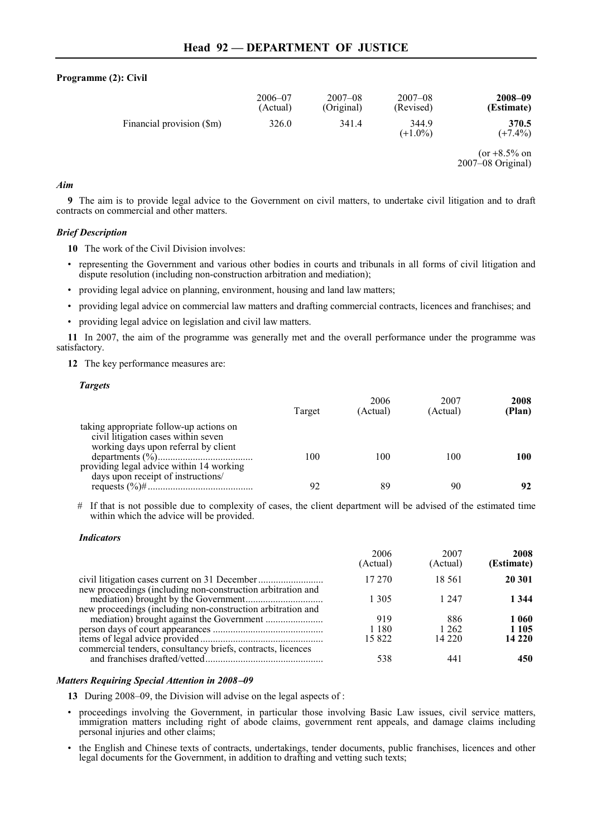# **Programme (2): Civil**

|                           | $2006 - 07$ | $2007 - 08$ | $2007 - 08$         | 2008-09             |
|---------------------------|-------------|-------------|---------------------|---------------------|
|                           | (Actual)    | (Original)  | (Revised)           | (Estimate)          |
| Financial provision (\$m) | 326.0       | 341.4       | 344.9<br>$(+1.0\%)$ | 370.5<br>$(+7.4\%)$ |

 $(or +8.5\% on$ 2007–08 Original)

# *Aim*

**9** The aim is to provide legal advice to the Government on civil matters, to undertake civil litigation and to draft contracts on commercial and other matters.

# *Brief Description*

**10** The work of the Civil Division involves:

- representing the Government and various other bodies in courts and tribunals in all forms of civil litigation and dispute resolution (including non-construction arbitration and mediation);
- providing legal advice on planning, environment, housing and land law matters;
- providing legal advice on commercial law matters and drafting commercial contracts, licences and franchises; and
- providing legal advice on legislation and civil law matters.

**11** In 2007, the aim of the programme was generally met and the overall performance under the programme was satisfactory.

**12** The key performance measures are:

# *Targets*

|                                                                                                                        | Target | 2006<br>(Actual) | 2007<br>(Actual) | 2008<br>(Plan) |
|------------------------------------------------------------------------------------------------------------------------|--------|------------------|------------------|----------------|
| taking appropriate follow-up actions on<br>civil litigation cases within seven<br>working days upon referral by client | 100    | 100              | 100              | 100            |
| providing legal advice within 14 working<br>days upon receipt of instructions/                                         | 92     | 89               | 90               | 92             |

# If that is not possible due to complexity of cases, the client department will be advised of the estimated time within which the advice will be provided.

### *Indicators*

|                                                             | 2006<br>(Actual) | 2007<br>(Actual) | 2008<br>(Estimate) |
|-------------------------------------------------------------|------------------|------------------|--------------------|
| new proceedings (including non-construction arbitration and | 17 270           | 18.561           | 20 301             |
| new proceedings (including non-construction arbitration and | 1 305            | 1 247            | 1 3 4 4            |
|                                                             | 919              | 886              | 1060               |
|                                                             | 1 1 8 0          | 1 2 6 2          | 1 1 0 5            |
| commercial tenders, consultancy briefs, contracts, licences | 15822            | 14 2 2 0         | 14 220             |
|                                                             | 538              | 441              | 450                |

### *Matters Requiring Special Attention in 2008*−*09*

**13** During 2008–09, the Division will advise on the legal aspects of :

• proceedings involving the Government, in particular those involving Basic Law issues, civil service matters, immigration matters including right of abode claims, government rent appeals, and damage claims including personal injuries and other claims;

• the English and Chinese texts of contracts, undertakings, tender documents, public franchises, licences and other legal documents for the Government, in addition to drafting and vetting such texts;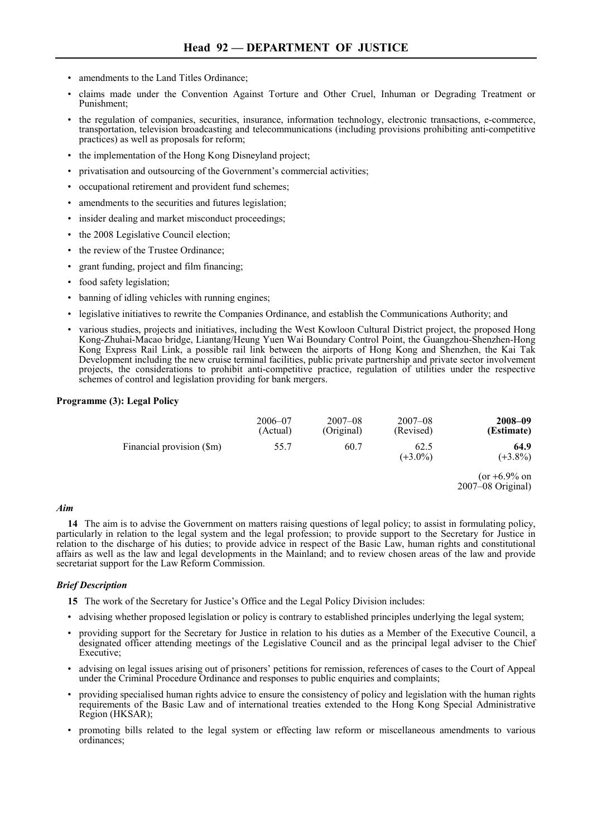- amendments to the Land Titles Ordinance;
- claims made under the Convention Against Torture and Other Cruel, Inhuman or Degrading Treatment or Punishment;
- the regulation of companies, securities, insurance, information technology, electronic transactions, e-commerce, transportation, television broadcasting and telecommunications (including provisions prohibiting anti-competitive practices) as well as proposals for reform;
- the implementation of the Hong Kong Disneyland project;
- privatisation and outsourcing of the Government's commercial activities;
- occupational retirement and provident fund schemes;
- amendments to the securities and futures legislation;
- insider dealing and market misconduct proceedings;
- the 2008 Legislative Council election;
- the review of the Trustee Ordinance:
- grant funding, project and film financing;
- food safety legislation;
- banning of idling vehicles with running engines;
- legislative initiatives to rewrite the Companies Ordinance, and establish the Communications Authority; and
- various studies, projects and initiatives, including the West Kowloon Cultural District project, the proposed Hong Kong-Zhuhai-Macao bridge, Liantang/Heung Yuen Wai Boundary Control Point, the Guangzhou-Shenzhen-Hong Kong Express Rail Link, a possible rail link between the airports of Hong Kong and Shenzhen, the Kai Tak Development including the new cruise terminal facilities, public private partnership and private sector involvement projects, the considerations to prohibit anti-competitive practice, regulation of utilities under the respective schemes of control and legislation providing for bank mergers.

# **Programme (3): Legal Policy**

| 2008-09<br>(Estimate) | $2007 - 08$<br>(Revised) | $2007 - 08$<br>(Original) | 2006-07<br>(Actual) |                           |
|-----------------------|--------------------------|---------------------------|---------------------|---------------------------|
| 64.9<br>$(+3.8\%)$    | 62.5<br>$(+3.0\%)$       | 60.7                      | 55.7                | Financial provision (\$m) |
|                       |                          |                           |                     |                           |

 $(or +6.9\% on$ 2007–08 Original)

### *Aim*

**14** The aim is to advise the Government on matters raising questions of legal policy; to assist in formulating policy, particularly in relation to the legal system and the legal profession; to provide support to the Secretary for Justice in relation to the discharge of his duties; to provide advice in respect of the Basic Law, human rights and constitutional affairs as well as the law and legal developments in the Mainland; and to review chosen areas of the law and provide secretariat support for the Law Reform Commission.

# *Brief Description*

**15** The work of the Secretary for Justice's Office and the Legal Policy Division includes:

- advising whether proposed legislation or policy is contrary to established principles underlying the legal system;
- providing support for the Secretary for Justice in relation to his duties as a Member of the Executive Council, a designated officer attending meetings of the Legislative Council and as the principal legal adviser to the Chief Executive;
- advising on legal issues arising out of prisoners' petitions for remission, references of cases to the Court of Appeal under the Criminal Procedure Ordinance and responses to public enquiries and complaints;
- providing specialised human rights advice to ensure the consistency of policy and legislation with the human rights requirements of the Basic Law and of international treaties extended to the Hong Kong Special Administrative Region (HKSAR);
- promoting bills related to the legal system or effecting law reform or miscellaneous amendments to various ordinances;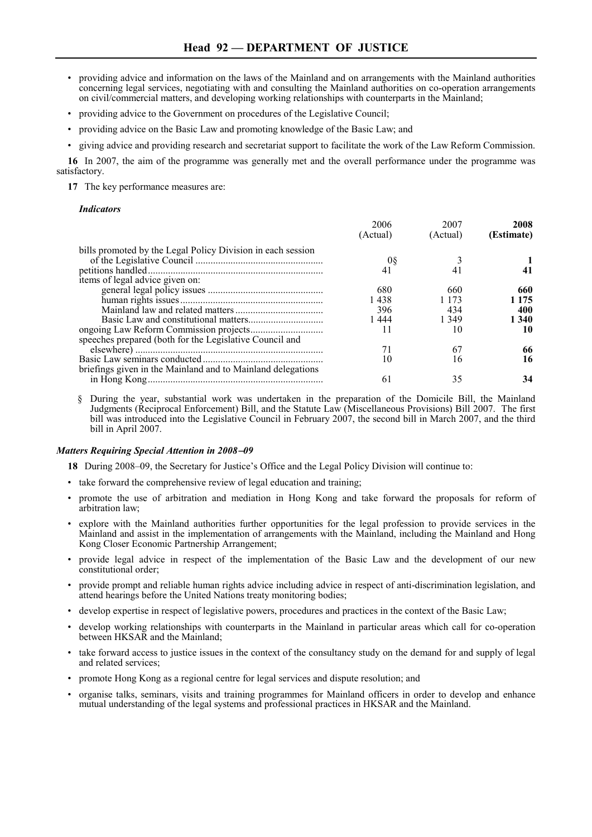- providing advice and information on the laws of the Mainland and on arrangements with the Mainland authorities concerning legal services, negotiating with and consulting the Mainland authorities on co-operation arrangements on civil/commercial matters, and developing working relationships with counterparts in the Mainland;
- providing advice to the Government on procedures of the Legislative Council;
- providing advice on the Basic Law and promoting knowledge of the Basic Law; and
- giving advice and providing research and secretariat support to facilitate the work of the Law Reform Commission.

**16** In 2007, the aim of the programme was generally met and the overall performance under the programme was satisfactory.

**17** The key performance measures are:

#### *Indicators*

|                                                             | 2006<br>(Actual) | 2007<br>(Actual) | 2008<br>(Estimate) |
|-------------------------------------------------------------|------------------|------------------|--------------------|
| bills promoted by the Legal Policy Division in each session |                  |                  |                    |
|                                                             | 08               |                  |                    |
|                                                             | 41               | 41               |                    |
| items of legal advice given on:                             |                  |                  |                    |
|                                                             | 680              | 660              | 660                |
|                                                             | 1 438            | 1 1 7 3          | 1 1 7 5            |
|                                                             | 396              | 434              | 400                |
|                                                             | 1444             | 1 349            | 1 340              |
|                                                             | 11               | 10               | 10                 |
| speeches prepared (both for the Legislative Council and     |                  |                  |                    |
|                                                             |                  | 67               | 66                 |
|                                                             | 10               | 16               | 16                 |
| briefings given in the Mainland and to Mainland delegations |                  |                  |                    |
|                                                             | 61               | 35               | 34                 |

§ During the year, substantial work was undertaken in the preparation of the Domicile Bill, the Mainland Judgments (Reciprocal Enforcement) Bill, and the Statute Law (Miscellaneous Provisions) Bill 2007. The first bill was introduced into the Legislative Council in February 2007, the second bill in March 2007, and the third bill in April 2007.

# *Matters Requiring Special Attention in 2008*−*09*

**18** During 2008–09, the Secretary for Justice's Office and the Legal Policy Division will continue to:

- take forward the comprehensive review of legal education and training;
- promote the use of arbitration and mediation in Hong Kong and take forward the proposals for reform of arbitration law;
- explore with the Mainland authorities further opportunities for the legal profession to provide services in the Mainland and assist in the implementation of arrangements with the Mainland, including the Mainland and Hong Kong Closer Economic Partnership Arrangement;
- provide legal advice in respect of the implementation of the Basic Law and the development of our new constitutional order;
- provide prompt and reliable human rights advice including advice in respect of anti-discrimination legislation, and attend hearings before the United Nations treaty monitoring bodies;
- develop expertise in respect of legislative powers, procedures and practices in the context of the Basic Law;
- develop working relationships with counterparts in the Mainland in particular areas which call for co-operation between HKSAR and the Mainland;
- take forward access to justice issues in the context of the consultancy study on the demand for and supply of legal and related services;
- promote Hong Kong as a regional centre for legal services and dispute resolution; and
- organise talks, seminars, visits and training programmes for Mainland officers in order to develop and enhance mutual understanding of the legal systems and professional practices in HKSAR and the Mainland.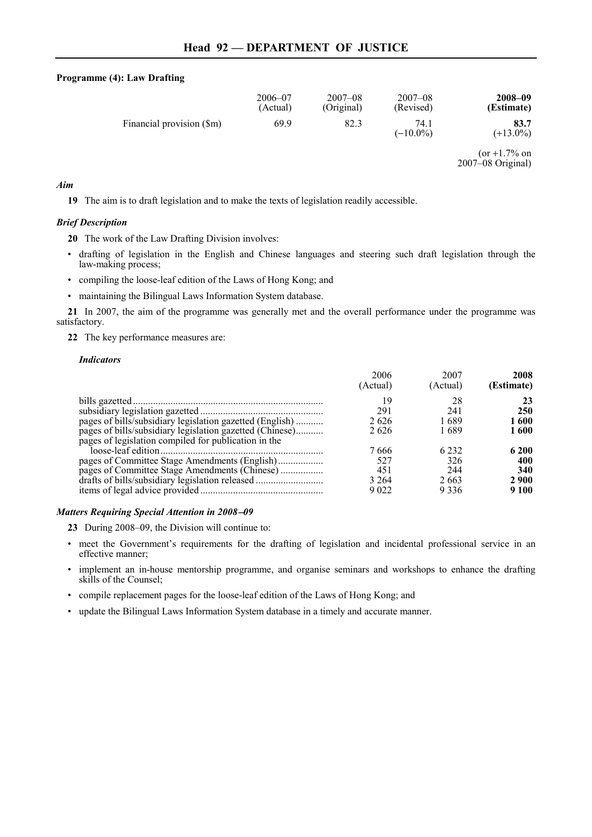# **Programme (4): Law Drafting**

| 2008-09<br>(Estimate)                  | $2007 - 08$<br>(Revised) | $2007 - 08$<br>(Original) | $2006 - 07$<br>(Actual) |                           |
|----------------------------------------|--------------------------|---------------------------|-------------------------|---------------------------|
| 83.7<br>$(+13.0\%)$                    | 74.1<br>$(-10.0\%)$      | 82.3                      | 69.9                    | Financial provision (\$m) |
| $\frac{\pi}{12}$ 1.70/ <sub>c</sub> on |                          |                           |                         |                           |

 $or +1.7\%$  on 2007–08 Original)

# *Aim*

**19** The aim is to draft legislation and to make the texts of legislation readily accessible.

# *Brief Description*

**20** The work of the Law Drafting Division involves:

- drafting of legislation in the English and Chinese languages and steering such draft legislation through the law-making process;
- compiling the loose-leaf edition of the Laws of Hong Kong; and
- maintaining the Bilingual Laws Information System database.

**21** In 2007, the aim of the programme was generally met and the overall performance under the programme was satisfactory.

**22** The key performance measures are:

# *Indicators*

|                                                                                                                  | 2006<br>(Actual) | 2007<br>(Actual) | 2008<br>(Estimate) |
|------------------------------------------------------------------------------------------------------------------|------------------|------------------|--------------------|
|                                                                                                                  |                  | 28               | 23                 |
|                                                                                                                  | 291              | 241              | 250                |
| pages of bills/subsidiary legislation gazetted (English)                                                         | 2626             | 1689             | 1 600              |
| pages of bills/subsidiary legislation gazetted (Chinese)<br>pages of legislation compiled for publication in the | 2626             | 1689             | 1600               |
|                                                                                                                  | 7 666            | 6 2 3 2          | 6 200              |
|                                                                                                                  | 527              | 326              | 400                |
| pages of Committee Stage Amendments (Chinese)                                                                    | 451              | 244              | 340                |
| drafts of bills/subsidiary legislation released                                                                  | 3 2 6 4          | 2663             | <b>2900</b>        |
|                                                                                                                  | 9.022            | 9336             | 9 1 0 0            |

# *Matters Requiring Special Attention in 2008*−*09*

- **23** During 2008–09, the Division will continue to:
- meet the Government's requirements for the drafting of legislation and incidental professional service in an effective manner;
- implement an in-house mentorship programme, and organise seminars and workshops to enhance the drafting skills of the Counsel;
- compile replacement pages for the loose-leaf edition of the Laws of Hong Kong; and
- update the Bilingual Laws Information System database in a timely and accurate manner.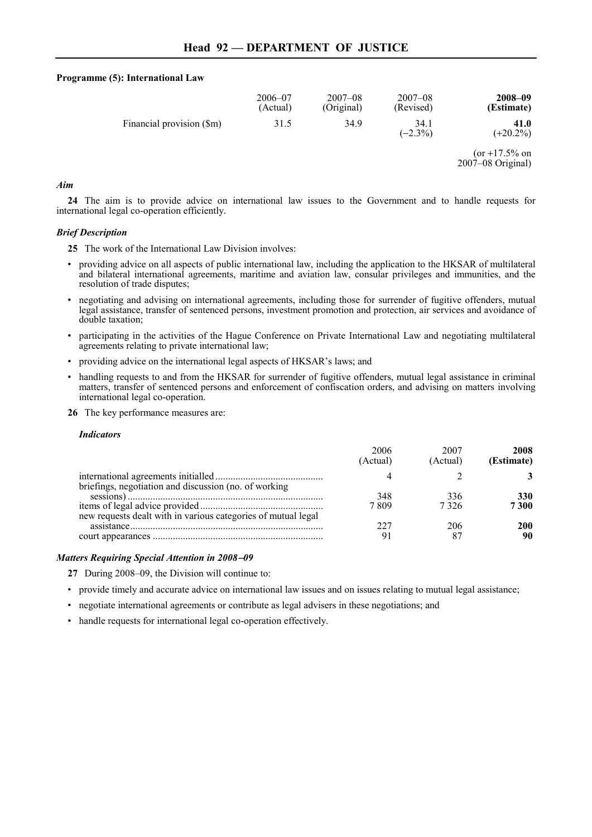# **Programme (5): International Law**

|                           | $2006 - 07$<br>(Actual) | $2007 - 08$<br>(Original) | $2007 - 08$<br>(Revised) | 2008-09<br>(Estimate)     |
|---------------------------|-------------------------|---------------------------|--------------------------|---------------------------|
| Financial provision (\$m) | 31.5                    | 34.9                      | 34.1<br>$(-2.3\%)$       | 41.0<br>$(+20.2\%)$       |
|                           |                         |                           |                          | $\frac{(or + 17.50)}{on}$ |

 $(or +17.5\% on$ 2007–08 Original)

# *Aim*

**24** The aim is to provide advice on international law issues to the Government and to handle requests for international legal co-operation efficiently.

# *Brief Description*

**25** The work of the International Law Division involves:

- providing advice on all aspects of public international law, including the application to the HKSAR of multilateral and bilateral international agreements, maritime and aviation law, consular privileges and immunities, and the resolution of trade disputes;
- negotiating and advising on international agreements, including those for surrender of fugitive offenders, mutual legal assistance, transfer of sentenced persons, investment promotion and protection, air services and avoidance of double taxation;
- participating in the activities of the Hague Conference on Private International Law and negotiating multilateral agreements relating to private international law;
- providing advice on the international legal aspects of HKSAR's laws; and
- handling requests to and from the HKSAR for surrender of fugitive offenders, mutual legal assistance in criminal matters, transfer of sentenced persons and enforcement of confiscation orders, and advising on matters involving international legal co-operation.
- **26** The key performance measures are:

### *Indicators*

|                                                               | 200 <sub>f</sub><br>(Actual) | 2007<br>(Actual) | 2008<br>(Estimate) |
|---------------------------------------------------------------|------------------------------|------------------|--------------------|
|                                                               |                              |                  |                    |
| briefings, negotiation and discussion (no. of working         | 348                          | 336              | 330                |
| new requests dealt with in various categories of mutual legal | 7 809                        | 7326             | 7300               |
|                                                               |                              | 206              |                    |
|                                                               |                              |                  | 90                 |

# *Matters Requiring Special Attention in 2008*−*09*

- **27** During 2008–09, the Division will continue to:
- provide timely and accurate advice on international law issues and on issues relating to mutual legal assistance;
- negotiate international agreements or contribute as legal advisers in these negotiations; and
- handle requests for international legal co-operation effectively.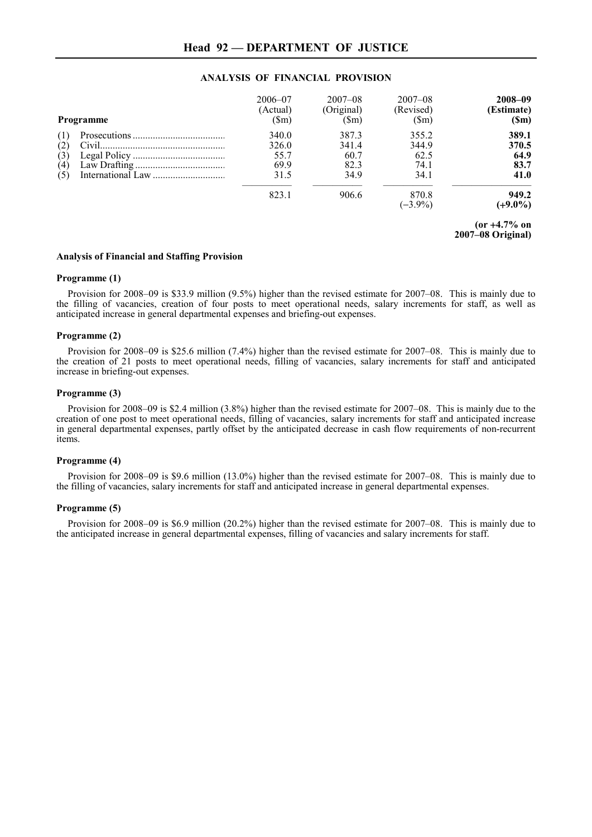# **Head 92 — DEPARTMENT OF JUSTICE**

# **ANALYSIS OF FINANCIAL PROVISION**

|     | <b>Programme</b> | $2006 - 07$<br>(Actual)<br>$(\mathsf{Sm})$ | $2007 - 08$<br>(Original)<br>$(\mathbb{S}_m)$ | $2007 - 08$<br>(Revised)<br>$(\mathbb{S}_{m})$ | 2008-09<br>(Estimate)<br>(Sm) |
|-----|------------------|--------------------------------------------|-----------------------------------------------|------------------------------------------------|-------------------------------|
| (1) |                  | 340.0                                      | 387.3                                         | 355.2                                          | 389.1                         |
| (2) |                  | 326.0                                      | 341.4                                         | 344.9                                          | 370.5                         |
| (3) |                  | 55.7                                       | 60.7                                          | 62.5                                           | 64.9                          |
| (4) |                  | 69.9                                       | 82.3                                          | 74.1                                           | 83.7                          |
| (5) |                  | 31.5                                       | 34.9                                          | 34.1                                           | 41.0                          |
|     |                  | 823.1                                      | 906.6                                         | 870.8<br>$(-3.9\%)$                            | 949.2<br>$(+9.0\%)$           |

**(or** +**4.7% on 2007–08 Original)**

### **Analysis of Financial and Staffing Provision**

# **Programme (1)**

Provision for 2008–09 is \$33.9 million (9.5%) higher than the revised estimate for 2007–08. This is mainly due to the filling of vacancies, creation of four posts to meet operational needs, salary increments for staff, as well as anticipated increase in general departmental expenses and briefing-out expenses.

#### **Programme (2)**

Provision for 2008–09 is \$25.6 million (7.4%) higher than the revised estimate for 2007–08. This is mainly due to the creation of 21 posts to meet operational needs, filling of vacancies, salary increments for staff and anticipated increase in briefing-out expenses.

### **Programme (3)**

Provision for 2008–09 is \$2.4 million (3.8%) higher than the revised estimate for 2007–08. This is mainly due to the creation of one post to meet operational needs, filling of vacancies, salary increments for staff and anticipated increase in general departmental expenses, partly offset by the anticipated decrease in cash flow requirements of non-recurrent items.

# **Programme (4)**

Provision for 2008–09 is \$9.6 million (13.0%) higher than the revised estimate for 2007–08. This is mainly due to the filling of vacancies, salary increments for staff and anticipated increase in general departmental expenses.

#### **Programme (5)**

Provision for 2008–09 is \$6.9 million (20.2%) higher than the revised estimate for 2007–08. This is mainly due to the anticipated increase in general departmental expenses, filling of vacancies and salary increments for staff.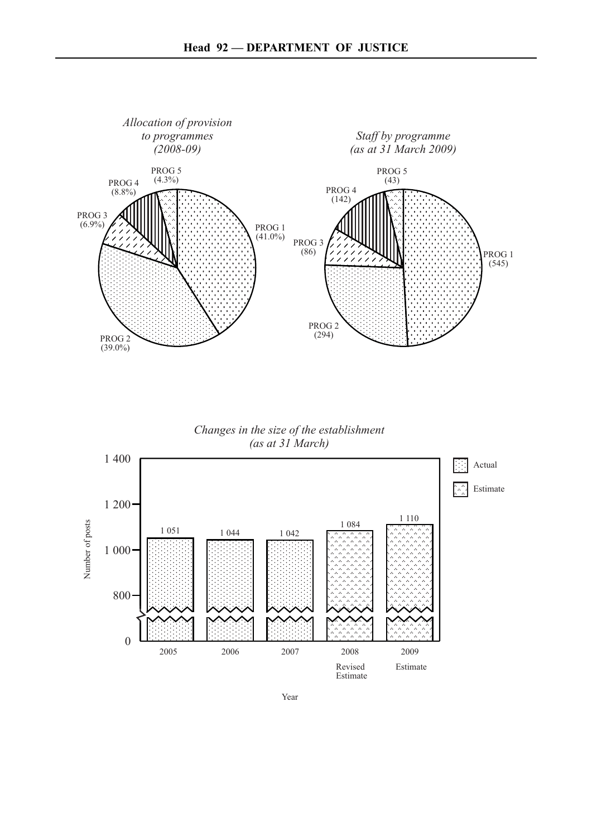

*Changes in the size of the establishment (as at 31 March)*



Year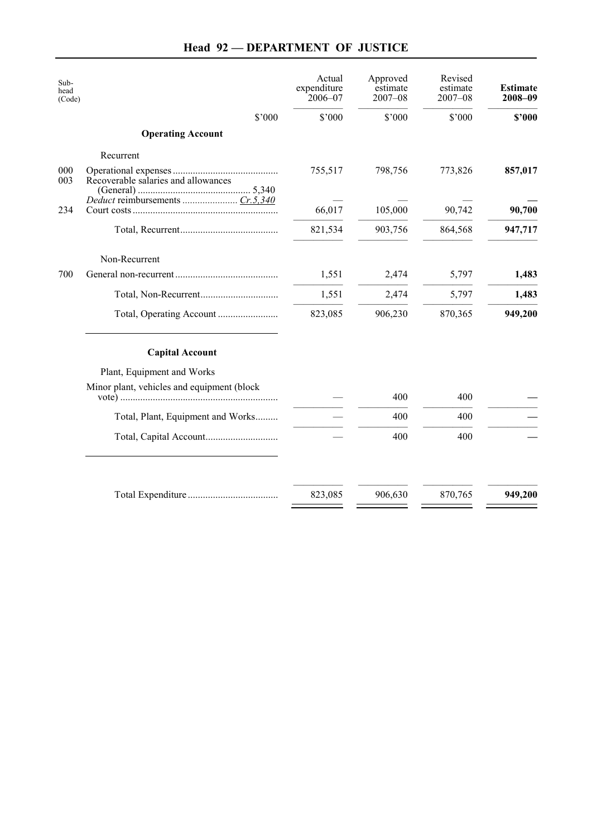# **Head 92 — DEPARTMENT OF JUSTICE**

|                                            | Actual<br>expenditure<br>$2006 - 07$ | Approved<br>estimate<br>$2007 - 08$ | Revised<br>estimate<br>$2007 - 08$ | <b>Estimate</b><br>2008-09 |
|--------------------------------------------|--------------------------------------|-------------------------------------|------------------------------------|----------------------------|
| \$'000                                     | \$'000                               | \$'000                              | \$'000                             | \$2000                     |
| <b>Operating Account</b>                   |                                      |                                     |                                    |                            |
| Recurrent                                  |                                      |                                     |                                    |                            |
| Recoverable salaries and allowances        | 755,517                              | 798,756                             | 773,826                            | 857,017                    |
|                                            | 66,017                               | 105,000                             | 90,742                             | 90,700                     |
|                                            | 821,534                              | 903,756                             | 864,568                            | 947,717                    |
| Non-Recurrent                              |                                      |                                     |                                    |                            |
|                                            | 1,551                                | 2,474                               | 5,797                              | 1,483                      |
|                                            | 1,551                                | 2,474                               | 5,797                              | 1,483                      |
|                                            | 823,085                              | 906,230                             | 870,365                            | 949,200                    |
| <b>Capital Account</b>                     |                                      |                                     |                                    |                            |
| Plant, Equipment and Works                 |                                      |                                     |                                    |                            |
| Minor plant, vehicles and equipment (block |                                      | 400                                 | 400                                |                            |
| Total, Plant, Equipment and Works          |                                      | 400                                 | 400                                |                            |
|                                            |                                      | 400                                 | 400                                |                            |
|                                            |                                      |                                     |                                    |                            |
|                                            | 823,085                              | 906,630                             | 870,765                            | 949,200                    |
|                                            |                                      |                                     |                                    |                            |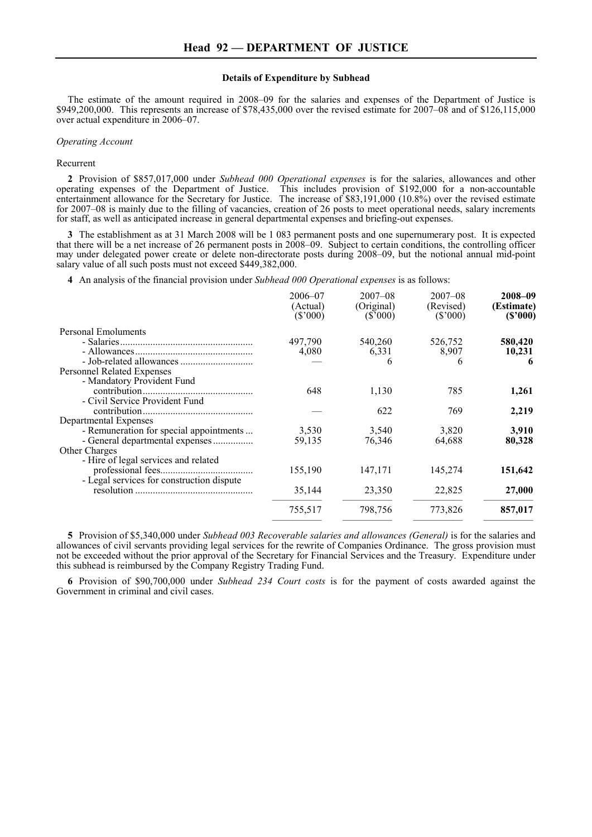### **Details of Expenditure by Subhead**

The estimate of the amount required in 2008–09 for the salaries and expenses of the Department of Justice is \$949,200,000. This represents an increase of \$78,435,000 over the revised estimate for 2007–08 and of \$126,115,000 over actual expenditure in 2006–07.

#### *Operating Account*

#### Recurrent

**2** Provision of \$857,017,000 under *Subhead 000 Operational expenses* is for the salaries, allowances and other operating expenses of the Department of Justice. This includes provision of \$192,000 for a non-accountable entertainment allowance for the Secretary for Justice. The increase of \$83,191,000 (10.8%) over the revised estimate for 2007–08 is mainly due to the filling of vacancies, creation of 26 posts to meet operational needs, salary increments for staff, as well as anticipated increase in general departmental expenses and briefing-out expenses.

**3** The establishment as at 31 March 2008 will be 1 083 permanent posts and one supernumerary post. It is expected that there will be a net increase of 26 permanent posts in 2008–09. Subject to certain conditions, the controlling officer may under delegated power create or delete non-directorate posts during 2008–09, but the notional annual mid-point salary value of all such posts must not exceed \$449,382,000.

**4** An analysis of the financial provision under *Subhead 000 Operational expenses* is as follows:

|                                           | $2006 - 07$<br>(Actual)<br>(S'000) | $2007 - 08$<br>(Original)<br>(S'000) | $2007 - 08$<br>(Revised)<br>(S'000) | 2008-09<br>(Estimate)<br>(S'000) |
|-------------------------------------------|------------------------------------|--------------------------------------|-------------------------------------|----------------------------------|
| Personal Emoluments                       |                                    |                                      |                                     |                                  |
|                                           | 497,790                            | 540,260                              | 526,752                             | 580,420                          |
|                                           | 4,080                              | 6,331                                | 8,907                               | 10,231                           |
|                                           |                                    | 6                                    | 6                                   | 6                                |
| Personnel Related Expenses                |                                    |                                      |                                     |                                  |
| - Mandatory Provident Fund                |                                    |                                      |                                     |                                  |
|                                           | 648                                | 1,130                                | 785                                 | 1,261                            |
| - Civil Service Provident Fund            |                                    |                                      |                                     |                                  |
|                                           |                                    | 622                                  | 769                                 | 2,219                            |
| Departmental Expenses                     |                                    |                                      |                                     |                                  |
| - Remuneration for special appointments   | 3,530                              | 3,540                                | 3,820                               | 3,910                            |
|                                           | 59.135                             | 76,346                               | 64,688                              | 80,328                           |
| Other Charges                             |                                    |                                      |                                     |                                  |
| - Hire of legal services and related      |                                    |                                      |                                     |                                  |
|                                           | 155,190                            | 147,171                              | 145,274                             | 151,642                          |
| - Legal services for construction dispute |                                    |                                      |                                     |                                  |
|                                           | 35,144                             | 23,350                               | 22,825                              | 27,000                           |
|                                           |                                    |                                      |                                     |                                  |
|                                           | 755,517                            | 798,756                              | 773,826                             | 857,017                          |
|                                           |                                    |                                      |                                     |                                  |

**5** Provision of \$5,340,000 under *Subhead 003 Recoverable salaries and allowances (General)* is for the salaries and allowances of civil servants providing legal services for the rewrite of Companies Ordinance. The gross provision must not be exceeded without the prior approval of the Secretary for Financial Services and the Treasury. Expenditure under this subhead is reimbursed by the Company Registry Trading Fund.

**6** Provision of \$90,700,000 under *Subhead 234 Court costs* is for the payment of costs awarded against the Government in criminal and civil cases.